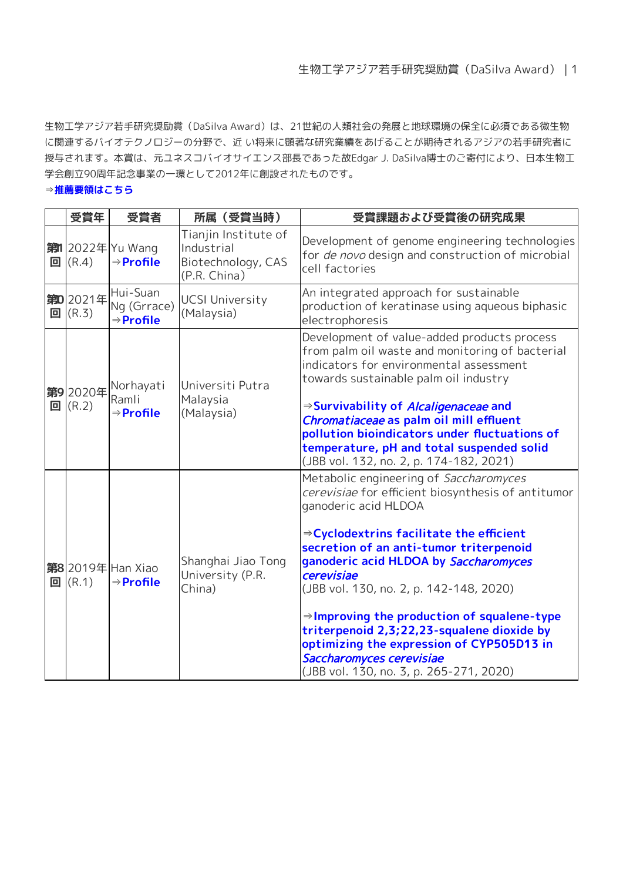生物工学アジア若手研究奨励賞 (DaSilva Award) は、21世紀の人類社会の発展と地球環境の保全に必須である微生物 に関連するバイオテクノロジーの分野で、近 い将来に顕著な研究業績をあげることが期待されるアジアの若手研究者に 授与されます。本賞は、元ユネスコバイオサイエンス部長であった故Edgar J. DaSilva博士のご寄付により、日本生物工 学会創立90周年記念事業の一環として2012年に創設されたものです。

## ⇒**[推薦要領はこちら](https://www.sbj.or.jp/dasilva_nomination.html)**

| 受賞年                          | 受賞者                                               | 所属 (受賞当時)                                                                | 受賞課題および受賞後の研究成果                                                                                                                                                                                                                                                                                                                                                                                                                                                                                                                                        |
|------------------------------|---------------------------------------------------|--------------------------------------------------------------------------|--------------------------------------------------------------------------------------------------------------------------------------------------------------------------------------------------------------------------------------------------------------------------------------------------------------------------------------------------------------------------------------------------------------------------------------------------------------------------------------------------------------------------------------------------------|
| $\boxed{a}$ (R.4)            | <b>第12022年</b> Yu Wang<br>$\Rightarrow$ Profile   | Tianjin Institute of<br>Industrial<br>Biotechnology, CAS<br>(P.R. China) | Development of genome engineering technologies<br>for de novo design and construction of microbial<br>cell factories                                                                                                                                                                                                                                                                                                                                                                                                                                   |
| 第02021年<br>$\boxed{a}$ (R.3) | Hui-Suan<br>Ng (Grrace)<br>⇒Profile               | <b>UCSI University</b><br>(Malaysia)                                     | An integrated approach for sustainable<br>production of keratinase using aqueous biphasic<br>electrophoresis                                                                                                                                                                                                                                                                                                                                                                                                                                           |
| 第92020年<br>$\boxed{a}$ (R.2) | Norhayati<br>Ramli<br>$\Rightarrow$ Profile       | Universiti Putra<br>Malaysia<br>(Malaysia)                               | Development of value-added products process<br>from palm oil waste and monitoring of bacterial<br>indicators for environmental assessment<br>towards sustainable palm oil industry<br>$\Rightarrow$ Survivability of Alcaligenaceae and<br>Chromatiaceae as palm oil mill effluent<br>pollution bioindicators under fluctuations of<br>temperature, pH and total suspended solid<br>(JBB vol. 132, no. 2, p. 174-182, 2021)                                                                                                                            |
| $\boxed{a}$ (R.1)            | <b>第8</b> 2019年 Han Xiao<br>$\Rightarrow$ Profile | Shanghai Jiao Tong<br>University (P.R.<br>China)                         | Metabolic engineering of Saccharomyces<br>cerevisiae for efficient biosynthesis of antitumor<br>ganoderic acid HLDOA<br>$\Rightarrow$ Cyclodextrins facilitate the efficient<br>secretion of an anti-tumor triterpenoid<br>ganoderic acid HLDOA by Saccharomyces<br>cerevisiae<br>(JBB vol. 130, no. 2, p. 142-148, 2020)<br>$\Rightarrow$ Improving the production of squalene-type<br>triterpenoid 2,3;22,23-squalene dioxide by<br>optimizing the expression of CYP505D13 in<br>Saccharomyces cerevisiae<br>(JBB vol. 130, no. 3, p. 265-271, 2020) |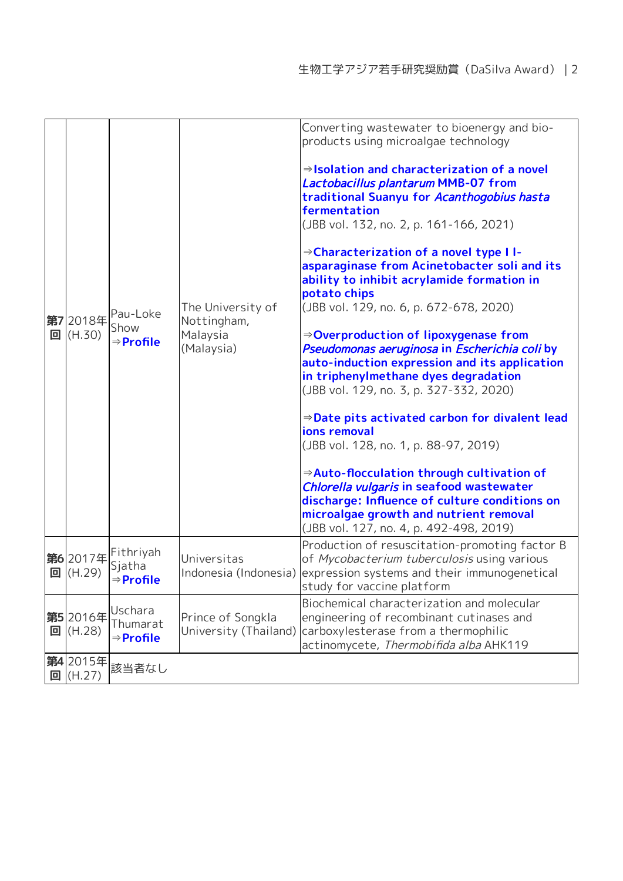|   | 第7 2018年<br>$\boxed{q}$ (H.30) | Pau-Loke<br>Show<br>$\Rightarrow$ Profile    | The University of<br>Nottingham,<br>Malaysia<br>(Malaysia) | Converting wastewater to bioenergy and bio-<br>products using microalgae technology<br>$\Rightarrow$ Isolation and characterization of a novel<br>Lactobacillus plantarum MMB-07 from<br>traditional Suanyu for Acanthogobius hasta<br>fermentation<br>(JBB vol. 132, no. 2, p. 161-166, 2021)<br>⇒Characterization of a novel type II-<br>asparaginase from Acinetobacter soli and its<br>ability to inhibit acrylamide formation in<br>potato chips<br>(JBB vol. 129, no. 6, p. 672-678, 2020)<br>$\Rightarrow$ Overproduction of lipoxygenase from<br>Pseudomonas aeruginosa in Escherichia coli by<br>auto-induction expression and its application<br>in triphenylmethane dyes degradation<br>(JBB vol. 129, no. 3, p. 327-332, 2020)<br>$\Rightarrow$ Date pits activated carbon for divalent lead<br>ions removal<br>(JBB vol. 128, no. 1, p. 88-97, 2019)<br>$\Rightarrow$ Auto-flocculation through cultivation of<br>Chlorella vulgaris in seafood wastewater<br>discharge: Influence of culture conditions on<br>microalgae growth and nutrient removal<br>(JBB vol. 127, no. 4, p. 492-498, 2019) |
|---|--------------------------------|----------------------------------------------|------------------------------------------------------------|---------------------------------------------------------------------------------------------------------------------------------------------------------------------------------------------------------------------------------------------------------------------------------------------------------------------------------------------------------------------------------------------------------------------------------------------------------------------------------------------------------------------------------------------------------------------------------------------------------------------------------------------------------------------------------------------------------------------------------------------------------------------------------------------------------------------------------------------------------------------------------------------------------------------------------------------------------------------------------------------------------------------------------------------------------------------------------------------------------------|
| 回 | 第62017年<br>(H.29)              | Fithriyah<br>Sjatha<br>⇒Profile              | Universitas                                                | Production of resuscitation-promoting factor B<br>of Mycobacterium tuberculosis using various<br>Indonesia (Indonesia) expression systems and their immunogenetical<br>study for vaccine platform                                                                                                                                                                                                                                                                                                                                                                                                                                                                                                                                                                                                                                                                                                                                                                                                                                                                                                             |
| 回 | 第5 2016年<br>(H.28)             | Uschara<br>Thumarat<br>$\Rightarrow$ Profile | Prince of Songkla<br>University (Thailand)                 | Biochemical characterization and molecular<br>engineering of recombinant cutinases and<br>carboxylesterase from a thermophilic<br>actinomycete, Thermobifida alba AHK119                                                                                                                                                                                                                                                                                                                                                                                                                                                                                                                                                                                                                                                                                                                                                                                                                                                                                                                                      |
| 回 | 第4 2015年<br>(H.27)             | 該当者なし                                        |                                                            |                                                                                                                                                                                                                                                                                                                                                                                                                                                                                                                                                                                                                                                                                                                                                                                                                                                                                                                                                                                                                                                                                                               |